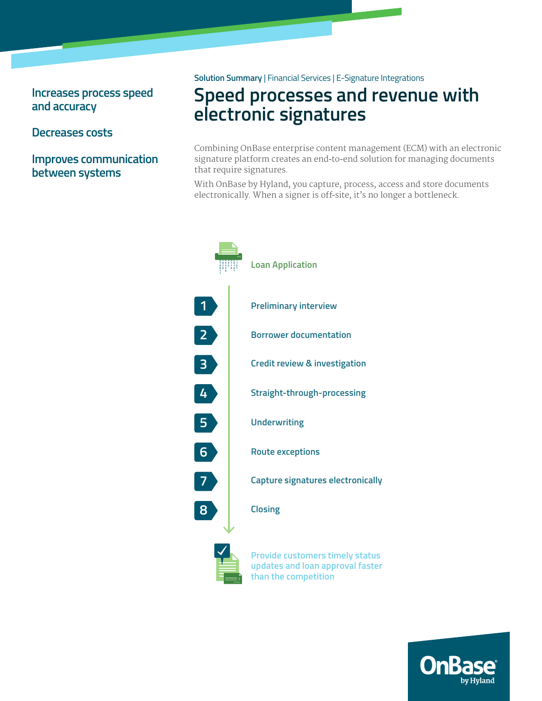## **Increases process speed and accuracy**

## **Decreases costs**

**Improves communication between systems**

#### **Solution Summary** | Financial Services | E-Signature Integrations

# **Speed processes and revenue with electronic signatures**

Combining OnBase enterprise content management (ECM) with an electronic signature platform creates an end-to-end solution for managing documents that require signatures.

With OnBase by Hyland, you capture, process, access and store documents electronically. When a signer is off-site, it's no longer a bottleneck.



**updates and loan approval faster updates and loan approval faster than the competition than the competition**